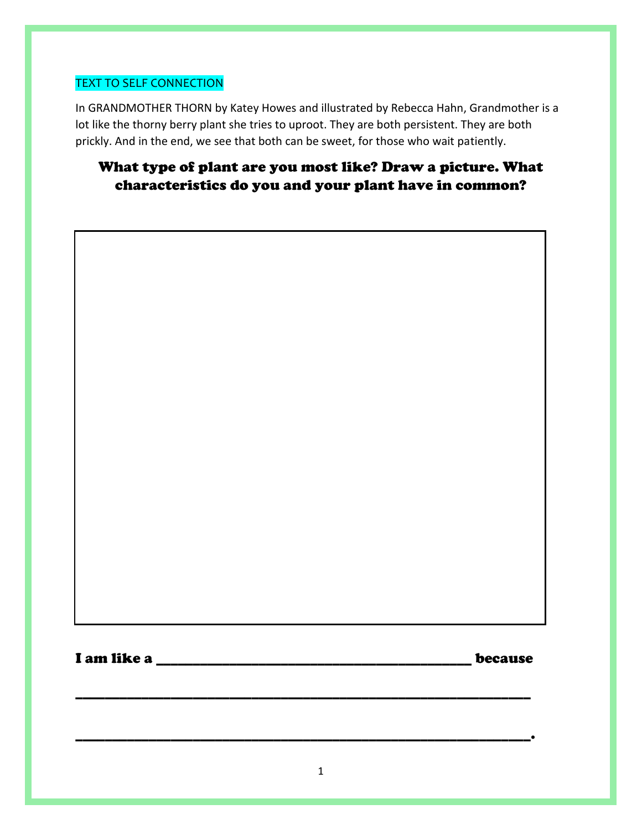### TEXT TO SELF CONNECTION

In GRANDMOTHER THORN by Katey Howes and illustrated by Rebecca Hahn, Grandmother is a lot like the thorny berry plant she tries to uproot. They are both persistent. They are both prickly. And in the end, we see that both can be sweet, for those who wait patiently.

# What type of plant are you most like? Draw a picture. What characteristics do you and your plant have in common?

I am like a <u>letter and the set of the set of the set of the set of the set of the set of the set of the set of the set of the set of the set of the set of the set of the set of the set of the set of the set of the set of </u>

\_\_\_\_\_\_\_\_\_\_\_\_\_\_\_\_\_\_\_\_\_\_\_\_\_\_\_\_\_\_\_\_\_\_\_\_\_\_\_\_\_\_\_\_\_\_\_\_\_\_\_\_\_\_\_\_\_\_\_\_\_\_

\_\_\_\_\_\_\_\_\_\_\_\_\_\_\_\_\_\_\_\_\_\_\_\_\_\_\_\_\_\_\_\_\_\_\_\_\_\_\_\_\_\_\_\_\_\_\_\_\_\_\_\_\_\_\_\_\_\_\_\_\_\_.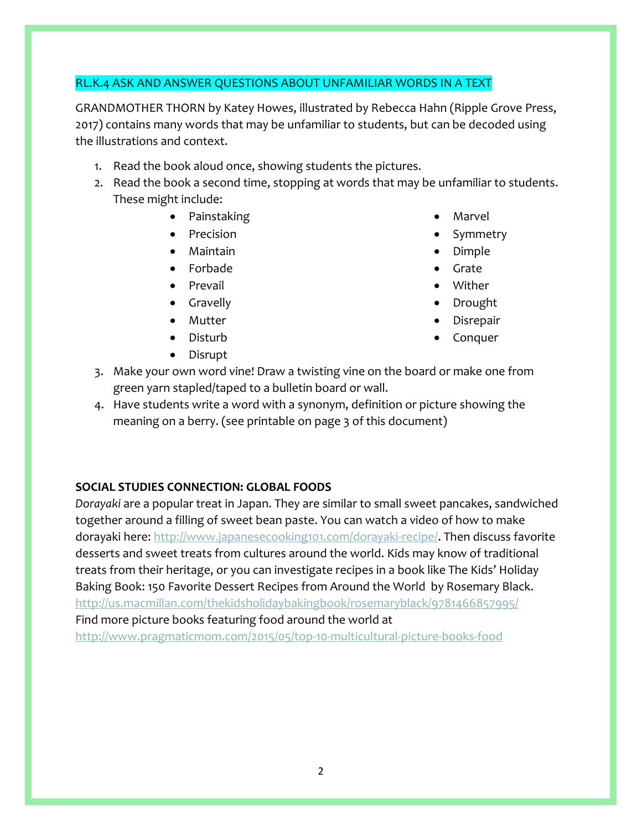#### RL.K.4 ASK AND ANSWER QUESTIONS ABOUT UNFAMILIAR WORDS IN A TEXT

GRANDMOTHER THORN by Katey Howes, illustrated by Rebecca Hahn (Ripple Grove Press, 2017) contains many words that may be unfamiliar to students, but can be decoded using the illustrations and context.

- 1. Read the book aloud once, showing students the pictures.
- 2. Read the book a second time, stopping at words that may be unfamiliar to students. These might include:
	- Painstaking
	- Precision
	- Maintain
	- Forbade
	- Prevail
	- Gravelly
	- Mutter
	- Disturb
	- Disrupt
- Marvel
- Symmetry
- Dimple
- Grate
- Wither
- Drought
- Disrepair
- Conquer
- 3. Make your own word vine! Draw a twisting vine on the board or make one from green yarn stapled/taped to a bulletin board or wall.
- 4. Have students write a word with a synonym, definition or picture showing the meaning on a berry. (see printable on page 3 of this document)

#### **SOCIAL STUDIES CONNECTION: GLOBAL FOODS**

*Dorayaki* are a popular treat in Japan. They are similar to small sweet pancakes, sandwiched together around a filling of sweet bean paste. You can watch a video of how to make dorayaki here[: http://www.japanesecooking101.com/dorayaki-recipe/.](http://www.japanesecooking101.com/dorayaki-recipe/) Then discuss favorite desserts and sweet treats from cultures around the world. Kids may know of traditional treats from their heritage, or you can investigate recipes in a book like The Kids' Holiday Baking Book: 150 Favorite Dessert Recipes from Around the World by Rosemary Black. <http://us.macmillan.com/thekidsholidaybakingbook/rosemaryblack/9781466857995/> Find more picture books featuring food around the world at <http://www.pragmaticmom.com/2015/05/top-10-multicultural-picture-books-food>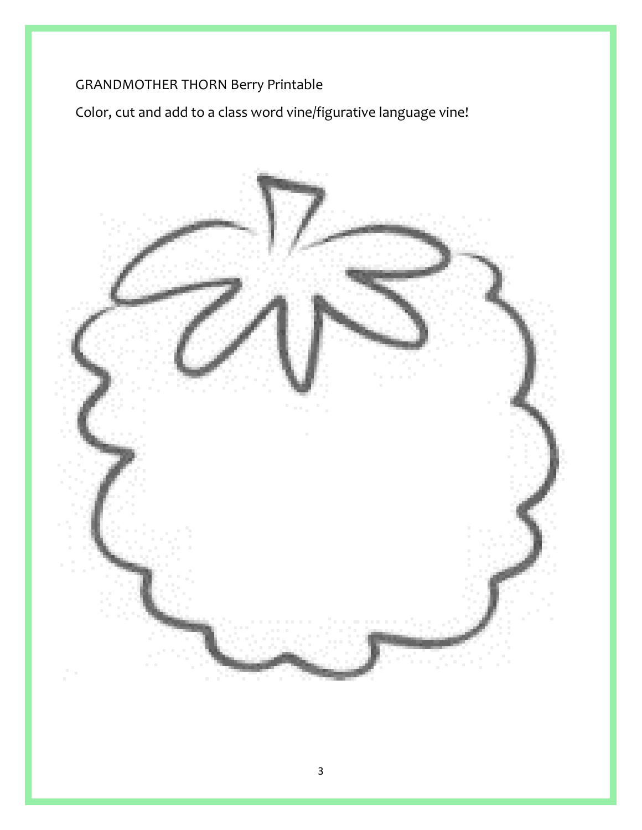# GRANDMOTHER THORN Berry Printable

Color, cut and add to a class word vine/figurative language vine!

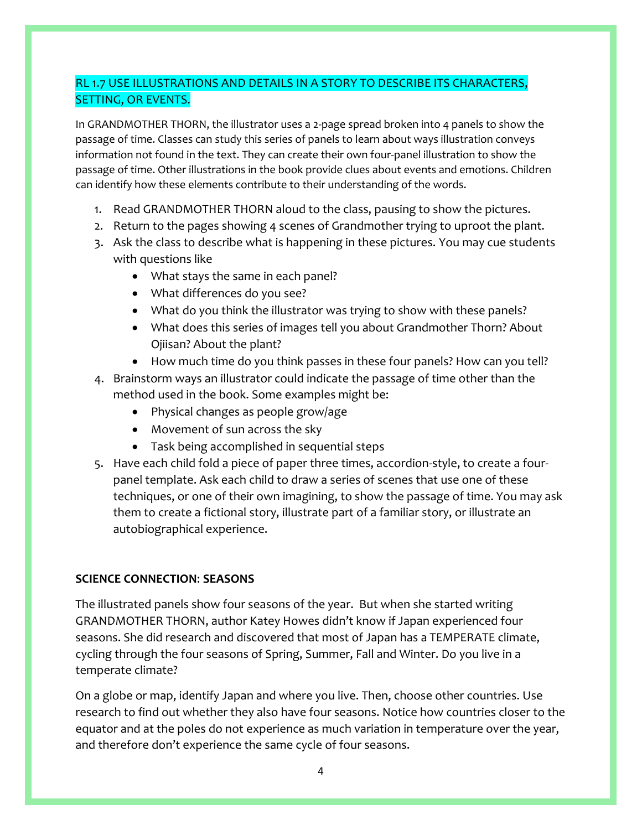# RL 1.7 USE ILLUSTRATIONS AND DETAILS IN A STORY TO DESCRIBE ITS CHARACTERS, SETTING, OR EVENTS.

In GRANDMOTHER THORN, the illustrator uses a 2-page spread broken into 4 panels to show the passage of time. Classes can study this series of panels to learn about ways illustration conveys information not found in the text. They can create their own four-panel illustration to show the passage of time. Other illustrations in the book provide clues about events and emotions. Children can identify how these elements contribute to their understanding of the words.

- 1. Read GRANDMOTHER THORN aloud to the class, pausing to show the pictures.
- 2. Return to the pages showing 4 scenes of Grandmother trying to uproot the plant.
- 3. Ask the class to describe what is happening in these pictures. You may cue students with questions like
	- What stays the same in each panel?
	- What differences do you see?
	- What do you think the illustrator was trying to show with these panels?
	- What does this series of images tell you about Grandmother Thorn? About Ojiisan? About the plant?
	- How much time do you think passes in these four panels? How can you tell?
- 4. Brainstorm ways an illustrator could indicate the passage of time other than the method used in the book. Some examples might be:
	- Physical changes as people grow/age
	- Movement of sun across the sky
	- Task being accomplished in sequential steps
- 5. Have each child fold a piece of paper three times, accordion-style, to create a fourpanel template. Ask each child to draw a series of scenes that use one of these techniques, or one of their own imagining, to show the passage of time. You may ask them to create a fictional story, illustrate part of a familiar story, or illustrate an autobiographical experience.

#### **SCIENCE CONNECTION**: **SEASONS**

The illustrated panels show four seasons of the year. But when she started writing GRANDMOTHER THORN, author Katey Howes didn't know if Japan experienced four seasons. She did research and discovered that most of Japan has a TEMPERATE climate, cycling through the four seasons of Spring, Summer, Fall and Winter. Do you live in a temperate climate?

On a globe or map, identify Japan and where you live. Then, choose other countries. Use research to find out whether they also have four seasons. Notice how countries closer to the equator and at the poles do not experience as much variation in temperature over the year, and therefore don't experience the same cycle of four seasons.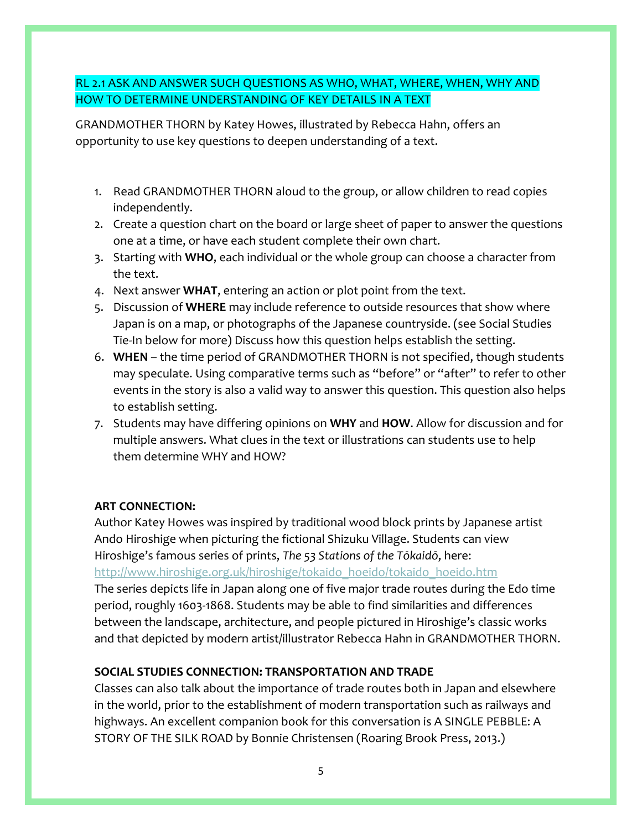# RL 2.1 ASK AND ANSWER SUCH QUESTIONS AS WHO, WHAT, WHERE, WHEN, WHY AND HOW TO DETERMINE UNDERSTANDING OF KEY DETAILS IN A TEXT

GRANDMOTHER THORN by Katey Howes, illustrated by Rebecca Hahn, offers an opportunity to use key questions to deepen understanding of a text.

- 1. Read GRANDMOTHER THORN aloud to the group, or allow children to read copies independently.
- 2. Create a question chart on the board or large sheet of paper to answer the questions one at a time, or have each student complete their own chart.
- 3. Starting with **WHO**, each individual or the whole group can choose a character from the text.
- 4. Next answer **WHAT**, entering an action or plot point from the text.
- 5. Discussion of **WHERE** may include reference to outside resources that show where Japan is on a map, or photographs of the Japanese countryside. (see Social Studies Tie-In below for more) Discuss how this question helps establish the setting.
- 6. **WHEN** the time period of GRANDMOTHER THORN is not specified, though students may speculate. Using comparative terms such as "before" or "after" to refer to other events in the story is also a valid way to answer this question. This question also helps to establish setting.
- 7. Students may have differing opinions on **WHY** and **HOW**. Allow for discussion and for multiple answers. What clues in the text or illustrations can students use to help them determine WHY and HOW?

#### **ART CONNECTION:**

Author Katey Howes was inspired by traditional wood block prints by Japanese artist Ando Hiroshige when picturing the fictional Shizuku Village. Students can view Hiroshige's famous series of prints, *The 53 Stations of the Tōkaidō*, here:

[http://www.hiroshige.org.uk/hiroshige/tokaido\\_hoeido/tokaido\\_hoeido.htm](http://www.hiroshige.org.uk/hiroshige/tokaido_hoeido/tokaido_hoeido.htm)

The series depicts life in Japan along one of five major trade routes during the Edo time period, roughly 1603-1868. Students may be able to find similarities and differences between the landscape, architecture, and people pictured in Hiroshige's classic works and that depicted by modern artist/illustrator Rebecca Hahn in GRANDMOTHER THORN.

# **SOCIAL STUDIES CONNECTION: TRANSPORTATION AND TRADE**

Classes can also talk about the importance of trade routes both in Japan and elsewhere in the world, prior to the establishment of modern transportation such as railways and highways. An excellent companion book for this conversation is A SINGLE PEBBLE: A STORY OF THE SILK ROAD by Bonnie Christensen (Roaring Brook Press, 2013.)